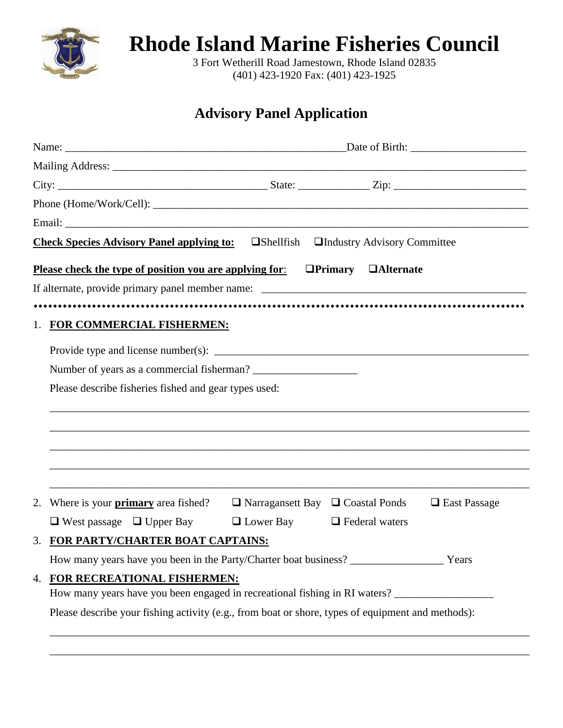

**Rhode Island Marine Fisheries Council**

3 Fort Wetherill Road Jamestown, Rhode Island 02835 (401) 423-1920 Fax: (401) 423-1925

## **Advisory Panel Application**

|    | Check Species Advisory Panel applying to: □Shellfish □Industry Advisory Committee                   |                                              |                            |                     |  |
|----|-----------------------------------------------------------------------------------------------------|----------------------------------------------|----------------------------|---------------------|--|
|    | Please check the type of position you are applying for:                                             |                                              | <b>OPrimary OAlternate</b> |                     |  |
|    |                                                                                                     |                                              |                            |                     |  |
|    |                                                                                                     |                                              |                            |                     |  |
|    | 1. FOR COMMERCIAL FISHERMEN:                                                                        |                                              |                            |                     |  |
|    |                                                                                                     |                                              |                            |                     |  |
|    | Number of years as a commercial fisherman?                                                          |                                              |                            |                     |  |
|    | Please describe fisheries fished and gear types used:                                               |                                              |                            |                     |  |
|    |                                                                                                     |                                              |                            |                     |  |
|    |                                                                                                     |                                              |                            |                     |  |
|    |                                                                                                     |                                              |                            |                     |  |
|    |                                                                                                     |                                              |                            |                     |  |
|    |                                                                                                     |                                              |                            |                     |  |
| 2. | Where is your <b>primary</b> area fished?                                                           | $\Box$ Narragansett Bay $\Box$ Coastal Ponds |                            | $\Box$ East Passage |  |
|    | $\Box$ West passage $\Box$ Upper Bay                                                                | $\Box$ Lower Bay $\Box$ Federal waters       |                            |                     |  |
|    | 3. FOR PARTY/CHARTER BOAT CAPTAINS:                                                                 |                                              |                            |                     |  |
|    | How many years have you been in the Party/Charter boat business?                                    |                                              |                            |                     |  |
|    | 4. FOR RECREATIONAL FISHERMEN:                                                                      |                                              |                            |                     |  |
|    | How many years have you been engaged in recreational fishing in RI waters? ________________________ |                                              |                            |                     |  |
|    | Please describe your fishing activity (e.g., from boat or shore, types of equipment and methods):   |                                              |                            |                     |  |
|    |                                                                                                     |                                              |                            |                     |  |

\_\_\_\_\_\_\_\_\_\_\_\_\_\_\_\_\_\_\_\_\_\_\_\_\_\_\_\_\_\_\_\_\_\_\_\_\_\_\_\_\_\_\_\_\_\_\_\_\_\_\_\_\_\_\_\_\_\_\_\_\_\_\_\_\_\_\_\_\_\_\_\_\_\_\_\_\_\_\_\_\_\_\_\_\_\_\_